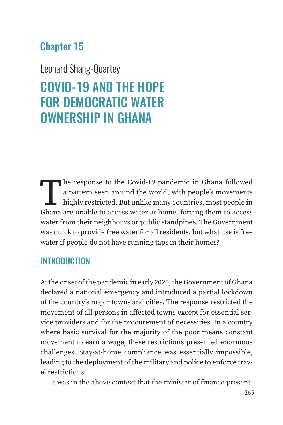# Chapter 15

Leonard Shang-Quartey

# COVID-19 AND THE HOPE FOR DEMOCRATIC WATER OWNERSHIP IN GHANA

The response to the Covid-19 pandemic in Ghana followed a pattern seen around the world, with people's movements highly restricted. But unlike many countries, most people in Ghana are unable to access water at home, forcing them to access water from their neighbours or public standpipes. The Government was quick to provide free water for all residents, but what use is free water if people do not have running taps in their homes?

### INTRODUCTION

At the onset of the pandemic in early 2020, the Government of Ghana declared a national emergency and introduced a partial lockdown of the country's major towns and cities. The response restricted the movement of all persons in affected towns except for essential service providers and for the procurement of necessities. In a country where basic survival for the majority of the poor means constant movement to earn a wage, these restrictions presented enormous challenges. Stay-at-home compliance was essentially impossible, leading to the deployment of the military and police to enforce travel restrictions.

It was in the above context that the minister of finance present-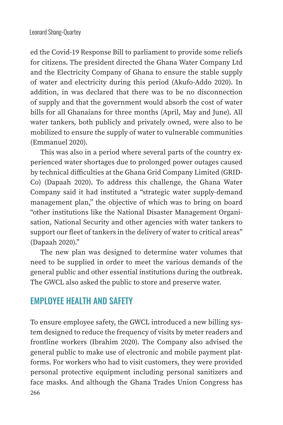ed the Covid-19 Response Bill to parliament to provide some reliefs for citizens. The president directed the Ghana Water Company Ltd and the Electricity Company of Ghana to ensure the stable supply of water and electricity during this period (Akufo-Addo 2020). In addition, in was declared that there was to be no disconnection of supply and that the government would absorb the cost of water bills for all Ghanaians for three months (April, May and June). All water tankers, both publicly and privately owned, were also to be mobilized to ensure the supply of water to vulnerable communities (Emmanuel 2020).

This was also in a period where several parts of the country experienced water shortages due to prolonged power outages caused by technical difficulties at the Ghana Grid Company Limited (GRID-Co) (Dapaah 2020). To address this challenge, the Ghana Water Company said it had instituted a "strategic water supply-demand management plan," the objective of which was to bring on board "other institutions like the National Disaster Management Organisation, National Security and other agencies with water tankers to support our fleet of tankers in the delivery of water to critical areas" (Dapaah 2020)."

The new plan was designed to determine water volumes that need to be supplied in order to meet the various demands of the general public and other essential institutions during the outbreak. The GWCL also asked the public to store and preserve water.

### **EMPLOYEE HEALTH AND SAFFTY**

266 To ensure employee safety, the GWCL introduced a new billing system designed to reduce the frequency of visits by meter readers and frontline workers (Ibrahim 2020). The Company also advised the general public to make use of electronic and mobile payment platforms. For workers who had to visit customers, they were provided personal protective equipment including personal sanitizers and face masks. And although the Ghana Trades Union Congress has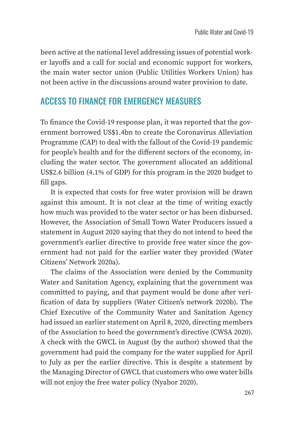been active at the national level addressing issues of potential worker layoffs and a call for social and economic support for workers, the main water sector union (Public Utilities Workers Union) has not been active in the discussions around water provision to date.

#### ACCESS TO FINANCE FOR EMERGENCY MEASURES

To finance the Covid-19 response plan, it was reported that the government borrowed US\$1.4bn to create the Coronavirus Alleviation Programme (CAP) to deal with the fallout of the Covid-19 pandemic for people's health and for the different sectors of the economy, including the water sector. The government allocated an additional US\$2.6 billion (4.1% of GDP) for this program in the 2020 budget to fill gaps.

It is expected that costs for free water provision will be drawn against this amount. It is not clear at the time of writing exactly how much was provided to the water sector or has been disbursed. However, the Association of Small Town Water Producers issued a statement in August 2020 saying that they do not intend to heed the government's earlier directive to provide free water since the government had not paid for the earlier water they provided (Water Citizens' Network 2020a).

The claims of the Association were denied by the Community Water and Sanitation Agency, explaining that the government was committed to paying, and that payment would be done after verification of data by suppliers (Water Citizen's network 2020b). The Chief Executive of the Community Water and Sanitation Agency had issued an earlier statement on April 8, 2020, directing members of the Association to heed the government's directive (CWSA 2020). A check with the GWCL in August (by the author) showed that the government had paid the company for the water supplied for April to July as per the earlier directive. This is despite a statement by the Managing Director of GWCL that customers who owe water bills will not enjoy the free water policy (Nyabor 2020).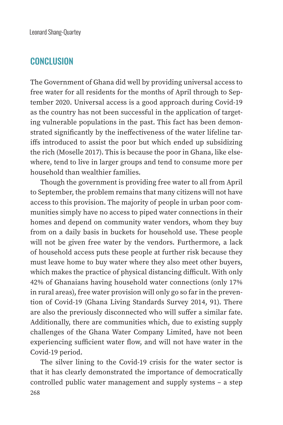#### **CONCLUSION**

The Government of Ghana did well by providing universal access to free water for all residents for the months of April through to September 2020. Universal access is a good approach during Covid-19 as the country has not been successful in the application of targeting vulnerable populations in the past. This fact has been demonstrated significantly by the ineffectiveness of the water lifeline tariffs introduced to assist the poor but which ended up subsidizing the rich (Moselle 2017). This is because the poor in Ghana, like elsewhere, tend to live in larger groups and tend to consume more per household than wealthier families.

Though the government is providing free water to all from April to September, the problem remains that many citizens will not have access to this provision. The majority of people in urban poor communities simply have no access to piped water connections in their homes and depend on community water vendors, whom they buy from on a daily basis in buckets for household use. These people will not be given free water by the vendors. Furthermore, a lack of household access puts these people at further risk because they must leave home to buy water where they also meet other buyers, which makes the practice of physical distancing difficult. With only 42% of Ghanaians having household water connections (only 17% in rural areas), free water provision will only go so far in the prevention of Covid-19 (Ghana Living Standards Survey 2014, 91). There are also the previously disconnected who will suffer a similar fate. Additionally, there are communities which, due to existing supply challenges of the Ghana Water Company Limited, have not been experiencing sufficient water flow, and will not have water in the Covid-19 period.

268 The silver lining to the Covid-19 crisis for the water sector is that it has clearly demonstrated the importance of democratically controlled public water management and supply systems – a step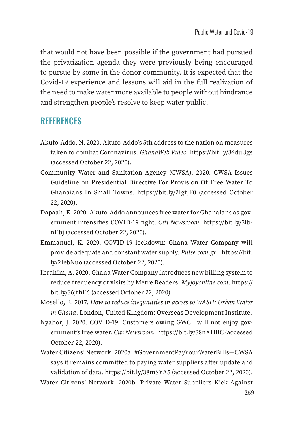that would not have been possible if the government had pursued the privatization agenda they were previously being encouraged to pursue by some in the donor community. It is expected that the Covid-19 experience and lessons will aid in the full realization of the need to make water more available to people without hindrance and strengthen people's resolve to keep water public.

## **REFERENCES**

- Akufo-Addo, N. 2020. Akufo-Addo's 5th address to the nation on measures taken to combat Coronavirus. *GhanaWeb Video*. https://bit.ly/36duUgs (accessed October 22, 2020).
- Community Water and Sanitation Agency (CWSA). 2020. CWSA Issues Guideline on Presidential Directive For Provision Of Free Water To Ghanaians In Small Towns. https://bit.ly/2IgfjF0 (accessed October 22, 2020).
- Dapaah, E. 2020. Akufo-Addo announces free water for Ghanaians as government intensifies COVID-19 fight. *Citi Newsroom*. https://bit.ly/3lbnEbj (accessed October 22, 2020).
- Emmanuel, K. 2020. COVID-19 lockdown: Ghana Water Company will provide adequate and constant water supply. *Pulse.com*.*gh*. https://bit. ly/2IebNuo (accessed October 22, 2020).
- Ibrahim, A. 2020. Ghana Water Company introduces new billing system to reduce frequency of visits by Metre Readers. *Myjoyonline.com*. https:// bit.ly/36jfhE6 (accessed October 22, 2020).
- Mosello, B. 2017. *How to reduce inequalities in access to WASH: Urban Water in Ghana*. London, United Kingdom: Overseas Development Institute.
- Nyabor, J. 2020. COVID-19: Customers owing GWCL will not enjoy government's free water. *Citi Newsroom*. https://bit.ly/38nXHBC (accessed October 22, 2020).
- Water Citizens' Network. 2020a. #GovernmentPayYourWaterBills—CWSA says it remains committed to paying water suppliers after update and validation of data. https://bit.ly/38mSYA5 (accessed October 22, 2020).

Water Citizens' Network. 2020b. Private Water Suppliers Kick Against